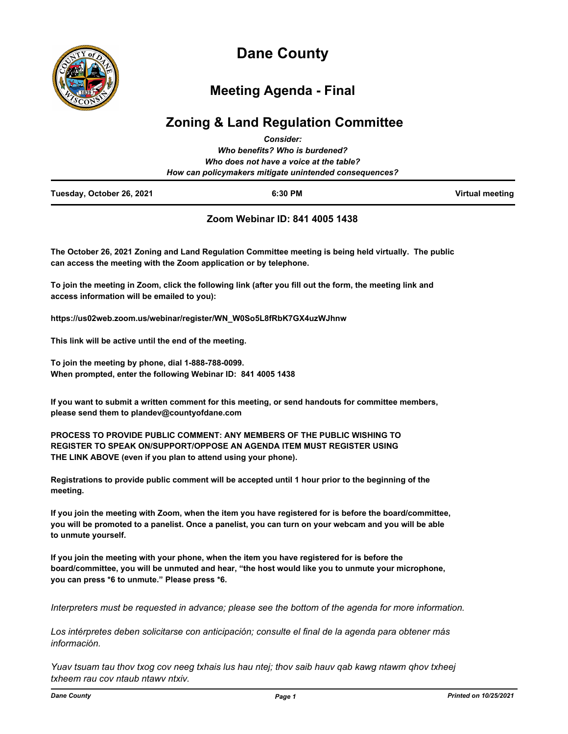

# **Dane County**

## **Meeting Agenda - Final**

## **Zoning & Land Regulation Committee**

| Tuesday, October 26, 2021 | 6:30 PM                                                                                           | <b>Virtual meeting</b> |
|---------------------------|---------------------------------------------------------------------------------------------------|------------------------|
|                           | Who does not have a voice at the table?<br>How can policymakers mitigate unintended consequences? |                        |
|                           | Who benefits? Who is burdened?                                                                    |                        |
|                           | <b>Consider:</b>                                                                                  |                        |

#### **Zoom Webinar ID: 841 4005 1438**

**The October 26, 2021 Zoning and Land Regulation Committee meeting is being held virtually. The public can access the meeting with the Zoom application or by telephone.**

**To join the meeting in Zoom, click the following link (after you fill out the form, the meeting link and access information will be emailed to you):**

**https://us02web.zoom.us/webinar/register/WN\_W0So5L8fRbK7GX4uzWJhnw**

**This link will be active until the end of the meeting.**

**To join the meeting by phone, dial 1-888-788-0099. When prompted, enter the following Webinar ID: 841 4005 1438**

**If you want to submit a written comment for this meeting, or send handouts for committee members, please send them to plandev@countyofdane.com**

**PROCESS TO PROVIDE PUBLIC COMMENT: ANY MEMBERS OF THE PUBLIC WISHING TO REGISTER TO SPEAK ON/SUPPORT/OPPOSE AN AGENDA ITEM MUST REGISTER USING THE LINK ABOVE (even if you plan to attend using your phone).**

**Registrations to provide public comment will be accepted until 1 hour prior to the beginning of the meeting.**

**If you join the meeting with Zoom, when the item you have registered for is before the board/committee, you will be promoted to a panelist. Once a panelist, you can turn on your webcam and you will be able to unmute yourself.**

**If you join the meeting with your phone, when the item you have registered for is before the board/committee, you will be unmuted and hear, "the host would like you to unmute your microphone, you can press \*6 to unmute." Please press \*6.**

*Interpreters must be requested in advance; please see the bottom of the agenda for more information.*

*Los intérpretes deben solicitarse con anticipación; consulte el final de la agenda para obtener más información.*

*Yuav tsuam tau thov txog cov neeg txhais lus hau ntej; thov saib hauv qab kawg ntawm qhov txheej txheem rau cov ntaub ntawv ntxiv.*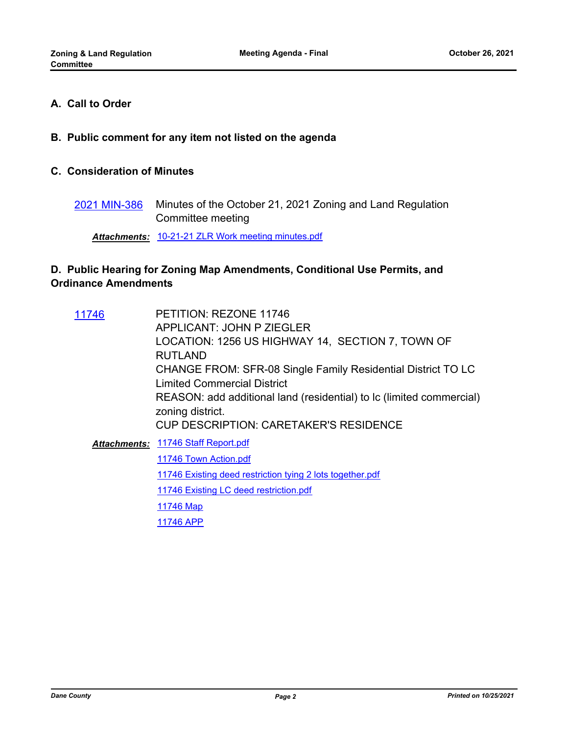### **A. Call to Order**

**B. Public comment for any item not listed on the agenda**

#### **C. Consideration of Minutes**

Minutes of the October 21, 2021 Zoning and Land Regulation Committee meeting [2021 MIN-386](http://dane.legistar.com/gateway.aspx?m=l&id=/matter.aspx?key=21373)

*Attachments:* [10-21-21 ZLR Work meeting minutes.pdf](http://dane.legistar.com/gateway.aspx?M=F&ID=f21dbde4-0e75-4d14-a71a-6db1a17f5c7f.pdf)

## **D. Public Hearing for Zoning Map Amendments, Conditional Use Permits, and Ordinance Amendments**

| 11746 | PETITION: REZONE 11746                                               |
|-------|----------------------------------------------------------------------|
|       | <b>APPLICANT: JOHN P ZIEGLER</b>                                     |
|       | LOCATION: 1256 US HIGHWAY 14, SECTION 7, TOWN OF                     |
|       | <b>RUTLAND</b>                                                       |
|       | CHANGE FROM: SFR-08 Single Family Residential District TO LC         |
|       | Limited Commercial District                                          |
|       | REASON: add additional land (residential) to lc (limited commercial) |
|       | zoning district.                                                     |
|       | <b>CUP DESCRIPTION: CARETAKER'S RESIDENCE</b>                        |
|       | <b>Attachments: 11746 Staff Report.pdf</b>                           |
|       | 11746 Town Action.pdf                                                |
|       | 11746 Existing deed restriction tying 2 lots together.pdf            |
|       | 11746 Existing LC deed restriction.pdf                               |
|       | 11746 Map                                                            |
|       | 11746 APP                                                            |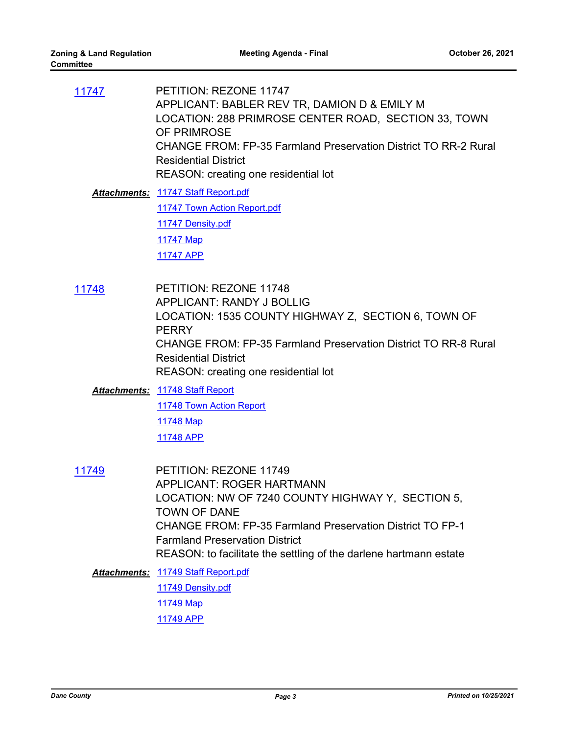PETITION: REZONE 11747 APPLICANT: BABLER REV TR, DAMION D & EMILY M LOCATION: 288 PRIMROSE CENTER ROAD, SECTION 33, TOWN OF PRIMROSE CHANGE FROM: FP-35 Farmland Preservation District TO RR-2 Rural Residential District REASON: creating one residential lot [11747](http://dane.legistar.com/gateway.aspx?m=l&id=/matter.aspx?key=20854) [11747 Staff Report.pdf](http://dane.legistar.com/gateway.aspx?M=F&ID=400e95b4-f48a-4299-83c8-da1a9adebc9a.pdf) *Attachments:* [11747 Town Action Report.pdf](http://dane.legistar.com/gateway.aspx?M=F&ID=778a5c11-10a7-434c-b82c-318a94c4018f.pdf) [11747 Density.pdf](http://dane.legistar.com/gateway.aspx?M=F&ID=4fca9daa-6728-4577-b0b7-c9444b3a4410.pdf) [11747 Map](http://dane.legistar.com/gateway.aspx?M=F&ID=0a6a9490-7ce3-44ca-8592-574fca193af7.pdf) [11747 APP](http://dane.legistar.com/gateway.aspx?M=F&ID=be0d3d99-436f-40ab-b547-461953e03391.pdf) PETITION: REZONE 11748 APPLICANT: RANDY J BOLLIG LOCATION: 1535 COUNTY HIGHWAY Z, SECTION 6, TOWN OF **PFRRY** CHANGE FROM: FP-35 Farmland Preservation District TO RR-8 Rural Residential District REASON: creating one residential lot [11748](http://dane.legistar.com/gateway.aspx?m=l&id=/matter.aspx?key=20851) [11748 Staff Report](http://dane.legistar.com/gateway.aspx?M=F&ID=308cfd73-4e85-40f0-9005-a48ad0df3c21.pdf) *Attachments:* [11748 Town Action Report](http://dane.legistar.com/gateway.aspx?M=F&ID=3794a926-36e1-40e9-b864-768d5f07fc3e.pdf) [11748 Map](http://dane.legistar.com/gateway.aspx?M=F&ID=2c455135-56f5-4770-aac2-d980e0193c4d.pdf) [11748 APP](http://dane.legistar.com/gateway.aspx?M=F&ID=156b6095-c77b-4945-9985-45290e2977bc.pdf) PETITION: REZONE 11749 APPLICANT: ROGER HARTMANN LOCATION: NW OF 7240 COUNTY HIGHWAY Y, SECTION 5, TOWN OF DANE CHANGE FROM: FP-35 Farmland Preservation District TO FP-1 Farmland Preservation District REASON: to facilitate the settling of the darlene hartmann estate [11749](http://dane.legistar.com/gateway.aspx?m=l&id=/matter.aspx?key=20855) [11749 Staff Report.pdf](http://dane.legistar.com/gateway.aspx?M=F&ID=83ba8ee1-765f-4e7a-b0cc-9706f70e649c.pdf) *Attachments:* [11749 Density.pdf](http://dane.legistar.com/gateway.aspx?M=F&ID=4343c12b-1c98-4f22-9f9c-968ab61a36fc.pdf) [11749 Map](http://dane.legistar.com/gateway.aspx?M=F&ID=12e4c22b-74c7-42fb-bc39-9c859379f06c.pdf) [11749 APP](http://dane.legistar.com/gateway.aspx?M=F&ID=1b99e2b0-9322-4327-962f-9a05b0f300b8.pdf)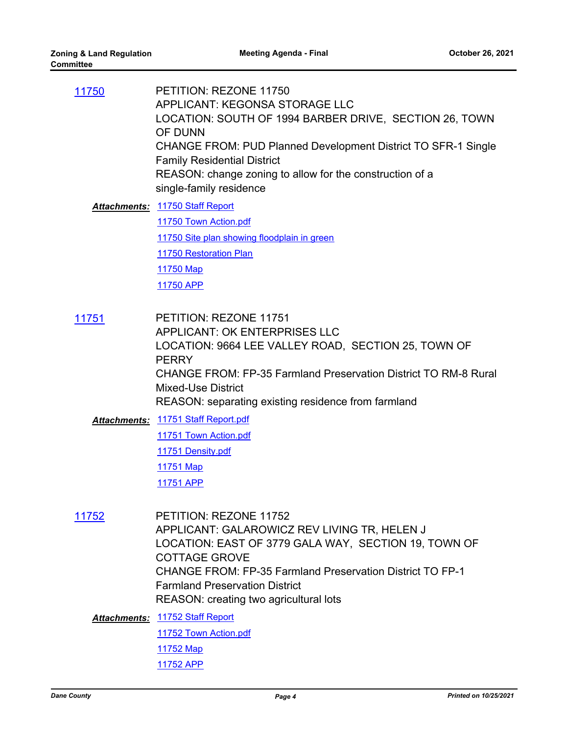| 11750 | PETITION: REZONE 11750<br>APPLICANT: KEGONSA STORAGE LLC<br>LOCATION: SOUTH OF 1994 BARBER DRIVE, SECTION 26, TOWN<br>OF DUNN<br><b>CHANGE FROM: PUD Planned Development District TO SFR-1 Single</b><br><b>Family Residential District</b><br>REASON: change zoning to allow for the construction of a |
|-------|---------------------------------------------------------------------------------------------------------------------------------------------------------------------------------------------------------------------------------------------------------------------------------------------------------|
|       | single-family residence                                                                                                                                                                                                                                                                                 |
|       | <b>Attachments: 11750 Staff Report</b>                                                                                                                                                                                                                                                                  |

[11750 Town Action.pdf](http://dane.legistar.com/gateway.aspx?M=F&ID=479ab6db-ec96-4e16-9fc8-22067db60a73.pdf) [11750 Site plan showing floodplain in green](http://dane.legistar.com/gateway.aspx?M=F&ID=d2dc9f20-1ee5-4ae2-9c16-43d37ca70ae4.pdf) **[11750 Restoration Plan](http://dane.legistar.com/gateway.aspx?M=F&ID=e4f9eaf3-a7e0-4da1-b4ef-7d6ec23f8877.pdf)** [11750 Map](http://dane.legistar.com/gateway.aspx?M=F&ID=4ca92438-05cf-439c-85fd-b47ad23c7ba4.pdf) [11750 APP](http://dane.legistar.com/gateway.aspx?M=F&ID=d9079db8-d6e4-4d35-a778-7100c6fe5215.pdf)

PETITION: REZONE 11751 APPLICANT: OK ENTERPRISES LLC LOCATION: 9664 LEE VALLEY ROAD, SECTION 25, TOWN OF **PERRY** CHANGE FROM: FP-35 Farmland Preservation District TO RM-8 Rural Mixed-Use District REASON: separating existing residence from farmland [11751](http://dane.legistar.com/gateway.aspx?m=l&id=/matter.aspx?key=20857)

[11751 Staff Report.pdf](http://dane.legistar.com/gateway.aspx?M=F&ID=37da3cd8-955c-4a40-a155-49a948e677d6.pdf) *Attachments:* [11751 Town Action.pdf](http://dane.legistar.com/gateway.aspx?M=F&ID=38ff0b1f-bcd0-4337-b770-d9e5d920cb89.pdf) [11751 Density.pdf](http://dane.legistar.com/gateway.aspx?M=F&ID=e95771e9-15e1-49f7-9c0f-3878b9dd26a6.pdf) [11751 Map](http://dane.legistar.com/gateway.aspx?M=F&ID=a7856aeb-62ff-44bc-9bdf-6975d5fc99d3.pdf) [11751 APP](http://dane.legistar.com/gateway.aspx?M=F&ID=843f611a-2dcd-4f8f-87e0-0cdc654bbee5.pdf)

PETITION: REZONE 11752 APPLICANT: GALAROWICZ REV LIVING TR, HELEN J LOCATION: EAST OF 3779 GALA WAY, SECTION 19, TOWN OF COTTAGE GROVE CHANGE FROM: FP-35 Farmland Preservation District TO FP-1 Farmland Preservation District REASON: creating two agricultural lots [11752](http://dane.legistar.com/gateway.aspx?m=l&id=/matter.aspx?key=20859)

[11752 Staff Report](http://dane.legistar.com/gateway.aspx?M=F&ID=87336dcc-7467-4661-893e-552d376e89f1.pdf) *Attachments:* [11752 Town Action.pdf](http://dane.legistar.com/gateway.aspx?M=F&ID=77ea4208-1753-49be-aeab-5c48b095f4b2.pdf) [11752 Map](http://dane.legistar.com/gateway.aspx?M=F&ID=e686a173-7fde-4042-bca5-192c4ae6c28f.pdf) [11752 APP](http://dane.legistar.com/gateway.aspx?M=F&ID=7ef26e1b-2f53-4433-a1a3-39dbe3c35e2f.pdf)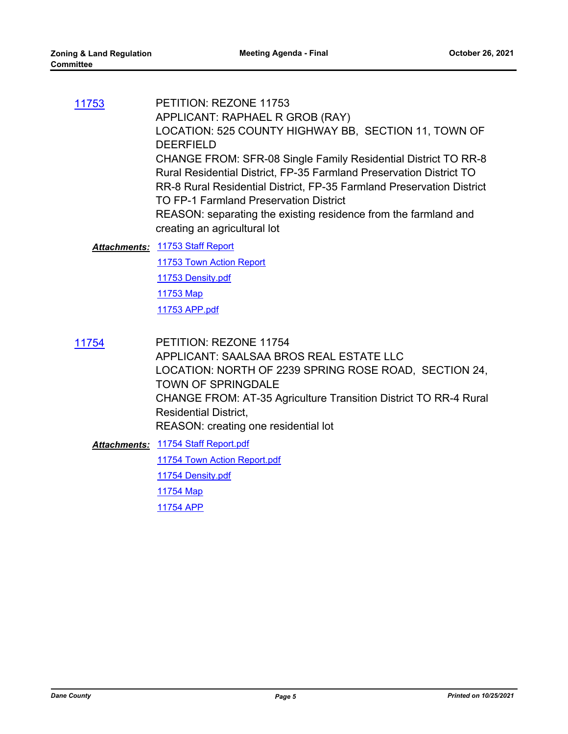PETITION: REZONE 11753 APPLICANT: RAPHAEL R GROB (RAY) LOCATION: 525 COUNTY HIGHWAY BB, SECTION 11, TOWN OF DEERFIELD CHANGE FROM: SFR-08 Single Family Residential District TO RR-8 Rural Residential District, FP-35 Farmland Preservation District TO RR-8 Rural Residential District, FP-35 Farmland Preservation District TO FP-1 Farmland Preservation District REASON: separating the existing residence from the farmland and creating an agricultural lot [11753](http://dane.legistar.com/gateway.aspx?m=l&id=/matter.aspx?key=20860)

#### [11753 Staff Report](http://dane.legistar.com/gateway.aspx?M=F&ID=167f9502-e5b6-438a-a91c-207d6b68ede3.pdf) *Attachments:*

[11753 Town Action Report](http://dane.legistar.com/gateway.aspx?M=F&ID=7e9db3d3-8c39-424c-87ad-3accc1eb191f.pdf) [11753 Density.pdf](http://dane.legistar.com/gateway.aspx?M=F&ID=aeaa90ed-8866-4abc-94b8-c50eb50d0b1f.pdf) [11753 Map](http://dane.legistar.com/gateway.aspx?M=F&ID=8a86a16a-751c-4a32-abc4-f68ed3d395af.pdf)

[11753 APP.pdf](http://dane.legistar.com/gateway.aspx?M=F&ID=48932927-2cb3-4d24-a86f-593a61063828.pdf)

PETITION: REZONE 11754 APPLICANT: SAALSAA BROS REAL ESTATE LLC LOCATION: NORTH OF 2239 SPRING ROSE ROAD, SECTION 24, TOWN OF SPRINGDALE CHANGE FROM: AT-35 Agriculture Transition District TO RR-4 Rural Residential District, REASON: creating one residential lot [11754](http://dane.legistar.com/gateway.aspx?m=l&id=/matter.aspx?key=20881)

[11754 Staff Report.pdf](http://dane.legistar.com/gateway.aspx?M=F&ID=aaa662c7-9004-458e-b5a1-7b38169ec625.pdf) *Attachments:* [11754 Town Action Report.pdf](http://dane.legistar.com/gateway.aspx?M=F&ID=5fdebb0c-3d16-42b9-a8d0-c4e6305fb133.pdf) [11754 Density.pdf](http://dane.legistar.com/gateway.aspx?M=F&ID=c608f191-7acf-404b-9aff-cd773496c827.pdf) [11754 Map](http://dane.legistar.com/gateway.aspx?M=F&ID=3f4b156f-5385-4630-b439-0b7d1656a627.pdf) [11754 APP](http://dane.legistar.com/gateway.aspx?M=F&ID=5cfec4aa-f386-46b1-b930-40d6e5557494.pdf)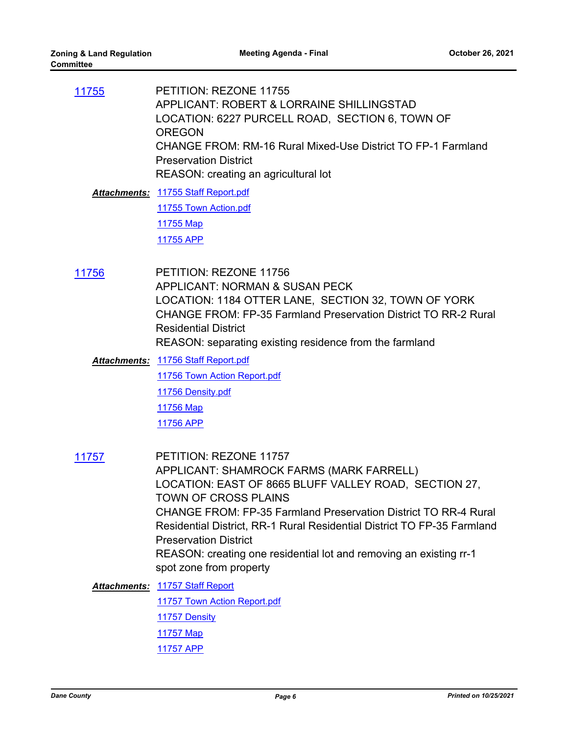| 11755               | PETITION: REZONE 11755<br>APPLICANT: ROBERT & LORRAINE SHILLINGSTAD<br>LOCATION: 6227 PURCELL ROAD, SECTION 6, TOWN OF<br><b>OREGON</b><br>CHANGE FROM: RM-16 Rural Mixed-Use District TO FP-1 Farmland<br><b>Preservation District</b><br>REASON: creating an agricultural lot<br>Attachments: 11755 Staff Report.pdf<br>11755 Town Action.pdf<br>11755 Map<br>11755 APP |
|---------------------|---------------------------------------------------------------------------------------------------------------------------------------------------------------------------------------------------------------------------------------------------------------------------------------------------------------------------------------------------------------------------|
| 11756               | PETITION: REZONE 11756<br><b>APPLICANT: NORMAN &amp; SUSAN PECK</b>                                                                                                                                                                                                                                                                                                       |
|                     | LOCATION: 1184 OTTER LANE, SECTION 32, TOWN OF YORK<br>CHANGE FROM: FP-35 Farmland Preservation District TO RR-2 Rural<br><b>Residential District</b>                                                                                                                                                                                                                     |
|                     | REASON: separating existing residence from the farmland                                                                                                                                                                                                                                                                                                                   |
|                     | Attachments: 11756 Staff Report.pdf                                                                                                                                                                                                                                                                                                                                       |
|                     | 11756 Town Action Report.pdf                                                                                                                                                                                                                                                                                                                                              |
|                     | 11756 Density.pdf                                                                                                                                                                                                                                                                                                                                                         |
|                     | 11756 Map                                                                                                                                                                                                                                                                                                                                                                 |
|                     | 11756 APP                                                                                                                                                                                                                                                                                                                                                                 |
| 11757               | PETITION: REZONE 11757<br>APPLICANT: SHAMROCK FARMS (MARK FARRELL)<br>LOCATION: EAST OF 8665 BLUFF VALLEY ROAD, SECTION 27,<br>TOWN OF CROSS PLAINS                                                                                                                                                                                                                       |
|                     | CHANGE FROM: FP-35 Farmland Preservation District TO RR-4 Rural                                                                                                                                                                                                                                                                                                           |
|                     | Residential District, RR-1 Rural Residential District TO FP-35 Farmland                                                                                                                                                                                                                                                                                                   |
|                     | <b>Preservation District</b>                                                                                                                                                                                                                                                                                                                                              |
|                     | REASON: creating one residential lot and removing an existing rr-1<br>spot zone from property                                                                                                                                                                                                                                                                             |
| <b>Attachments:</b> | 11757 Staff Report                                                                                                                                                                                                                                                                                                                                                        |
|                     | 11757 Town Action Report.pdf                                                                                                                                                                                                                                                                                                                                              |
|                     | 11757 Density                                                                                                                                                                                                                                                                                                                                                             |
|                     | 11757 Map                                                                                                                                                                                                                                                                                                                                                                 |
|                     | 11757 APP                                                                                                                                                                                                                                                                                                                                                                 |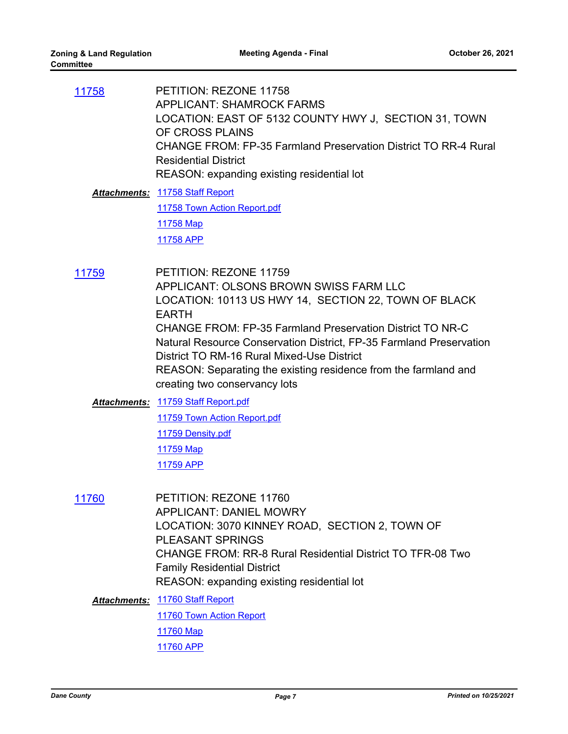| 11758        | PETITION: REZONE 11758<br><b>APPLICANT: SHAMROCK FARMS</b><br>LOCATION: EAST OF 5132 COUNTY HWY J, SECTION 31, TOWN<br>OF CROSS PLAINS<br>CHANGE FROM: FP-35 Farmland Preservation District TO RR-4 Rural<br><b>Residential District</b><br>REASON: expanding existing residential lot |
|--------------|----------------------------------------------------------------------------------------------------------------------------------------------------------------------------------------------------------------------------------------------------------------------------------------|
|              | Attachments: 11758 Staff Report                                                                                                                                                                                                                                                        |
|              | 11758 Town Action Report.pdf                                                                                                                                                                                                                                                           |
|              | 11758 Map                                                                                                                                                                                                                                                                              |
|              | 11758 APP                                                                                                                                                                                                                                                                              |
| 11759        | PETITION: REZONE 11759<br>APPLICANT: OLSONS BROWN SWISS FARM LLC<br>LOCATION: 10113 US HWY 14, SECTION 22, TOWN OF BLACK<br><b>EARTH</b><br>CHANGE FROM: FP-35 Farmland Preservation District TO NR-C<br>Natural Resource Conservation District, FP-35 Farmland Preservation           |
|              | District TO RM-16 Rural Mixed-Use District<br>REASON: Separating the existing residence from the farmland and<br>creating two conservancy lots                                                                                                                                         |
|              | Attachments: 11759 Staff Report.pdf                                                                                                                                                                                                                                                    |
|              | 11759 Town Action Report.pdf                                                                                                                                                                                                                                                           |
|              | 11759 Density.pdf                                                                                                                                                                                                                                                                      |
|              | 11759 Map                                                                                                                                                                                                                                                                              |
|              | 11759 APP                                                                                                                                                                                                                                                                              |
| <u>11760</u> | PETITION: REZONE 11760<br><b>APPLICANT: DANIEL MOWRY</b><br>LOCATION: 3070 KINNEY ROAD, SECTION 2, TOWN OF<br><b>PLEASANT SPRINGS</b><br><b>CHANGE FROM: RR-8 Rural Residential District TO TFR-08 Two</b><br><b>Family Residential District</b>                                       |
|              | REASON: expanding existing residential lot                                                                                                                                                                                                                                             |
| Attachments: | 11760 Staff Report                                                                                                                                                                                                                                                                     |
|              | 11760 Town Action Report                                                                                                                                                                                                                                                               |
|              | 11760 Map                                                                                                                                                                                                                                                                              |

[11760 APP](http://dane.legistar.com/gateway.aspx?M=F&ID=ce8b2050-f49a-43a0-a549-59befd9353a0.pdf)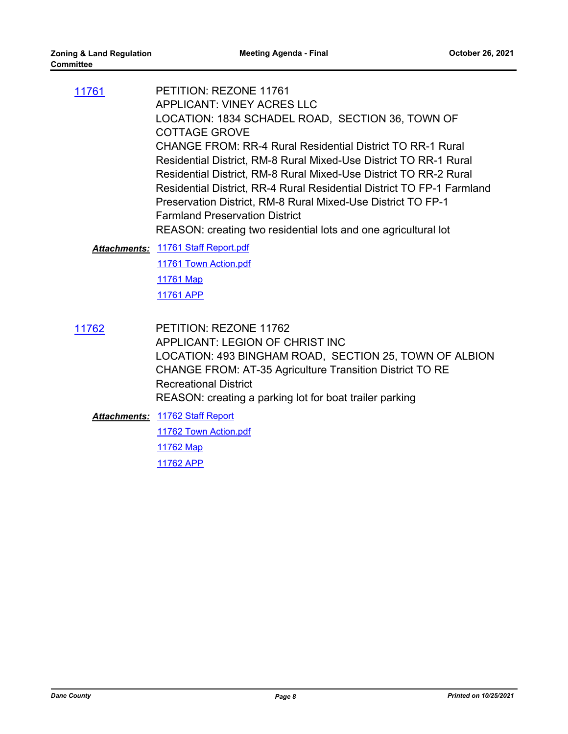| 11761 | PETITION: REZONE 11761<br>APPLICANT: VINEY ACRES LLC<br>LOCATION: 1834 SCHADEL ROAD, SECTION 36, TOWN OF<br>COTTAGE GROVE<br>CHANGE FROM: RR-4 Rural Residential District TO RR-1 Rural<br>Residential District, RM-8 Rural Mixed-Use District TO RR-1 Rural<br>Residential District, RM-8 Rural Mixed-Use District TO RR-2 Rural<br>Residential District, RR-4 Rural Residential District TO FP-1 Farmland<br>Preservation District, RM-8 Rural Mixed-Use District TO FP-1<br><b>Farmland Preservation District</b><br>REASON: creating two residential lots and one agricultural lot |
|-------|----------------------------------------------------------------------------------------------------------------------------------------------------------------------------------------------------------------------------------------------------------------------------------------------------------------------------------------------------------------------------------------------------------------------------------------------------------------------------------------------------------------------------------------------------------------------------------------|
|       | <b>Attachments: 11761 Staff Report.pdf</b><br>11761 Town Action.pdf<br>11761 Map<br>11761 APP                                                                                                                                                                                                                                                                                                                                                                                                                                                                                          |
|       |                                                                                                                                                                                                                                                                                                                                                                                                                                                                                                                                                                                        |

PETITION: REZONE 11762 APPLICANT: LEGION OF CHRIST INC LOCATION: 493 BINGHAM ROAD, SECTION 25, TOWN OF ALBION CHANGE FROM: AT-35 Agriculture Transition District TO RE Recreational District REASON: creating a parking lot for boat trailer parking [11762](http://dane.legistar.com/gateway.aspx?m=l&id=/matter.aspx?key=20867)

[11762 Staff Report](http://dane.legistar.com/gateway.aspx?M=F&ID=066ed2b7-0d74-4f53-a04f-372fa18d3926.pdf) *Attachments:* [11762 Town Action.pdf](http://dane.legistar.com/gateway.aspx?M=F&ID=73f0ab9a-4b91-4b6f-a5eb-3c8f281f58d7.pdf) [11762 Map](http://dane.legistar.com/gateway.aspx?M=F&ID=c5078f2e-6fb2-4f43-a9e2-ab9d3f6ce461.pdf) [11762 APP](http://dane.legistar.com/gateway.aspx?M=F&ID=76ab8716-4821-4f13-bbb3-86d3074b6e2b.pdf)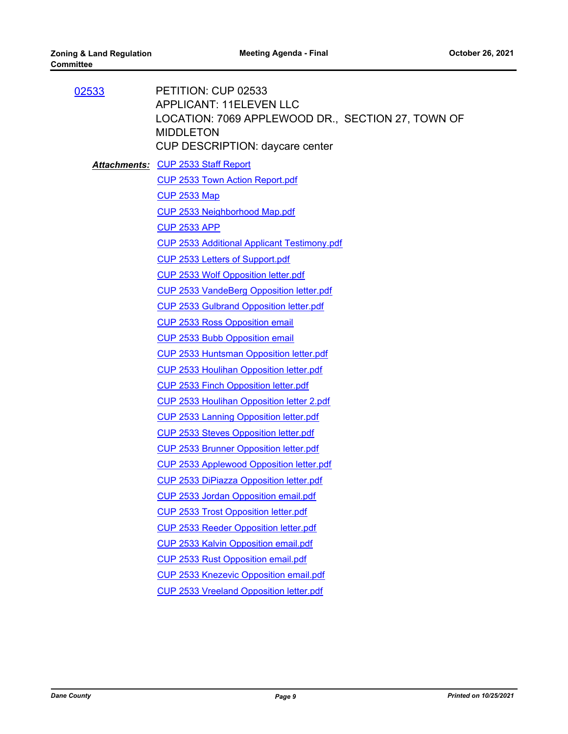| PETITION: CUP 02533<br><b>APPLICANT: 11ELEVEN LLC</b><br>LOCATION: 7069 APPLEWOOD DR., SECTION 27, TOWN OF<br><b>MIDDLETON</b><br><b>CUP DESCRIPTION: daycare center</b> |
|--------------------------------------------------------------------------------------------------------------------------------------------------------------------------|
| <b>Attachments: CUP 2533 Staff Report</b>                                                                                                                                |
| <b>CUP 2533 Town Action Report.pdf</b>                                                                                                                                   |
| <b>CUP 2533 Map</b>                                                                                                                                                      |
| CUP 2533 Neighborhood Map.pdf                                                                                                                                            |
| <b>CUP 2533 APP</b>                                                                                                                                                      |
| <b>CUP 2533 Additional Applicant Testimony.pdf</b>                                                                                                                       |
| CUP 2533 Letters of Support.pdf                                                                                                                                          |
| <b>CUP 2533 Wolf Opposition letter.pdf</b>                                                                                                                               |
| <b>CUP 2533 VandeBerg Opposition letter.pdf</b>                                                                                                                          |
| <b>CUP 2533 Gulbrand Opposition letter.pdf</b>                                                                                                                           |
| <b>CUP 2533 Ross Opposition email</b>                                                                                                                                    |
| <b>CUP 2533 Bubb Opposition email</b>                                                                                                                                    |
| CUP 2533 Huntsman Opposition letter.pdf                                                                                                                                  |
| CUP 2533 Houlihan Opposition letter.pdf                                                                                                                                  |
| <b>CUP 2533 Finch Opposition letter.pdf</b>                                                                                                                              |
| CUP 2533 Houlihan Opposition letter 2.pdf                                                                                                                                |
| <b>CUP 2533 Lanning Opposition letter.pdf</b>                                                                                                                            |
| <b>CUP 2533 Steves Opposition letter.pdf</b>                                                                                                                             |
| <b>CUP 2533 Brunner Opposition letter.pdf</b>                                                                                                                            |
| CUP 2533 Applewood Opposition letter.pdf                                                                                                                                 |
| <b>CUP 2533 DiPiazza Opposition letter.pdf</b>                                                                                                                           |
| CUP 2533 Jordan Opposition email.pdf                                                                                                                                     |
| <b>CUP 2533 Trost Opposition letter.pdf</b>                                                                                                                              |
| <b>CUP 2533 Reeder Opposition letter.pdf</b>                                                                                                                             |
| CUP 2533 Kalvin Opposition email.pdf                                                                                                                                     |
| <b>CUP 2533 Rust Opposition email.pdf</b>                                                                                                                                |
| <b>CUP 2533 Knezevic Opposition email.pdf</b>                                                                                                                            |
| <b>CUP 2533 Vreeland Opposition letter.pdf</b>                                                                                                                           |
|                                                                                                                                                                          |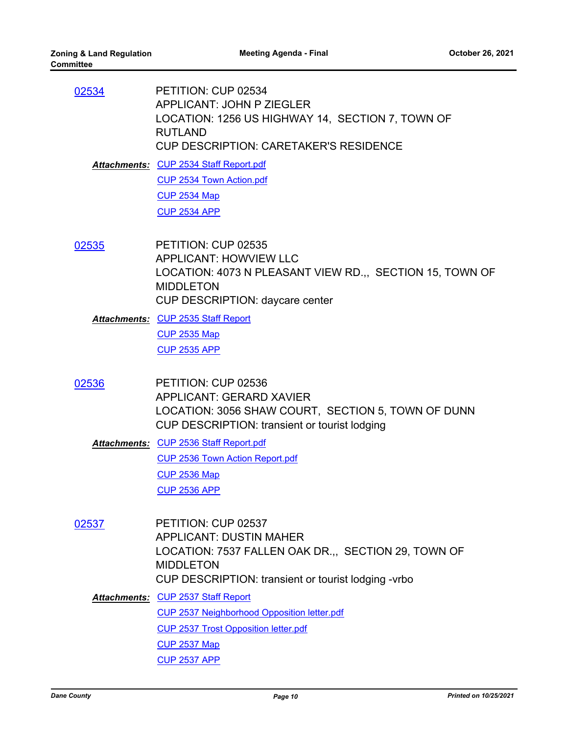| 02534 | PETITION: CUP 02534<br><b>APPLICANT: JOHN P ZIEGLER</b><br>LOCATION: 1256 US HIGHWAY 14, SECTION 7, TOWN OF<br><b>RUTLAND</b><br><b>CUP DESCRIPTION: CARETAKER'S RESIDENCE</b> |
|-------|--------------------------------------------------------------------------------------------------------------------------------------------------------------------------------|
|       | <b>Attachments: CUP 2534 Staff Report.pdf</b>                                                                                                                                  |
|       | CUP 2534 Town Action.pdf                                                                                                                                                       |
|       | <b>CUP 2534 Map</b>                                                                                                                                                            |
|       | <b>CUP 2534 APP</b>                                                                                                                                                            |
|       |                                                                                                                                                                                |
| 02535 | PETITION: CUP 02535<br><b>APPLICANT: HOWVIEW LLC</b><br>LOCATION: 4073 N PLEASANT VIEW RD.,, SECTION 15, TOWN OF<br><b>MIDDLETON</b><br><b>CUP DESCRIPTION: daycare center</b> |
|       | Attachments: CUP 2535 Staff Report                                                                                                                                             |
|       | <b>CUP 2535 Map</b>                                                                                                                                                            |
|       | <b>CUP 2535 APP</b>                                                                                                                                                            |
|       |                                                                                                                                                                                |
| 02536 | PETITION: CUP 02536<br><b>APPLICANT: GERARD XAVIER</b><br>LOCATION: 3056 SHAW COURT, SECTION 5, TOWN OF DUNN<br>CUP DESCRIPTION: transient or tourist lodging                  |
|       | Attachments: CUP 2536 Staff Report.pdf                                                                                                                                         |
|       | CUP 2536 Town Action Report.pdf                                                                                                                                                |
|       | <b>CUP 2536 Map</b>                                                                                                                                                            |
|       | <b>CUP 2536 APP</b>                                                                                                                                                            |

PETITION: CUP 02537 APPLICANT: DUSTIN MAHER LOCATION: 7537 FALLEN OAK DR.,, SECTION 29, TOWN OF MIDDLETON CUP DESCRIPTION: transient or tourist lodging -vrbo [02537](http://dane.legistar.com/gateway.aspx?m=l&id=/matter.aspx?key=20872)

[CUP 2537 Staff Report](http://dane.legistar.com/gateway.aspx?M=F&ID=3c4f0cb8-05cc-4091-a9e1-ac6cf5c4f9c4.pdf) *Attachments:* [CUP 2537 Neighborhood Opposition letter.pdf](http://dane.legistar.com/gateway.aspx?M=F&ID=05de60ec-4747-4471-a63e-36d47bda0b86.pdf) [CUP 2537 Trost Opposition letter.pdf](http://dane.legistar.com/gateway.aspx?M=F&ID=1e3c77d6-1a52-44a7-a23c-8e1f7e71a44f.pdf) [CUP 2537 Map](http://dane.legistar.com/gateway.aspx?M=F&ID=d73db2a7-bf67-43a4-b6b6-cf51219d04f7.pdf) [CUP 2537 APP](http://dane.legistar.com/gateway.aspx?M=F&ID=6dc7e708-8baf-4485-b294-cbcc67be52fa.pdf)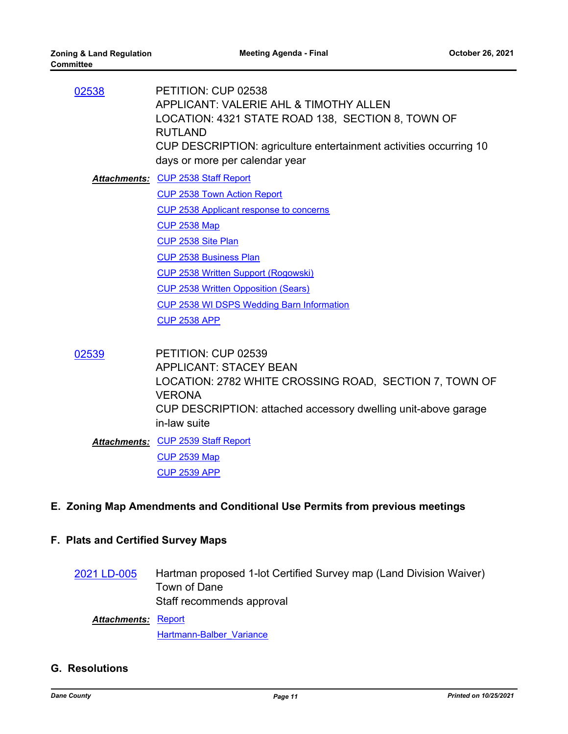| 02538 | PETITION: CUP 02538<br>APPLICANT: VALERIE AHL & TIMOTHY ALLEN<br>LOCATION: 4321 STATE ROAD 138, SECTION 8, TOWN OF<br><b>RUTLAND</b><br>CUP DESCRIPTION: agriculture entertainment activities occurring 10 |
|-------|------------------------------------------------------------------------------------------------------------------------------------------------------------------------------------------------------------|
|       | days or more per calendar year                                                                                                                                                                             |
|       | <b>Attachments: CUP 2538 Staff Report</b>                                                                                                                                                                  |
|       | <b>CUP 2538 Town Action Report</b>                                                                                                                                                                         |
|       | CUP 2538 Applicant response to concerns                                                                                                                                                                    |
|       | <b>CUP 2538 Map</b>                                                                                                                                                                                        |
|       | CUP 2538 Site Plan                                                                                                                                                                                         |
|       | <b>CUP 2538 Business Plan</b>                                                                                                                                                                              |
|       | <b>CUP 2538 Written Support (Rogowski)</b>                                                                                                                                                                 |
|       | <b>CUP 2538 Written Opposition (Sears)</b>                                                                                                                                                                 |
|       | <b>CUP 2538 WI DSPS Wedding Barn Information</b>                                                                                                                                                           |
|       | <b>CUP 2538 APP</b>                                                                                                                                                                                        |
|       |                                                                                                                                                                                                            |
| 02539 | PETITION: CUP 02539                                                                                                                                                                                        |
|       | <b>APPLICANT: STACEY BEAN</b>                                                                                                                                                                              |
|       | LOCATION: 2782 WHITE CROSSING ROAD, SECTION 7, TOWN OF<br><b>VERONA</b>                                                                                                                                    |
|       | CUP DESCRIPTION: attached accessory dwelling unit-above garage                                                                                                                                             |

in-law suite [CUP 2539 Staff Report](http://dane.legistar.com/gateway.aspx?M=F&ID=69c0e73e-2c64-4d99-896e-44e1356393fa.pdf) *Attachments:*

[CUP 2539 Map](http://dane.legistar.com/gateway.aspx?M=F&ID=09e9f80d-fe0e-40e8-995c-6101d29c1c2f.pdf) [CUP 2539 APP](http://dane.legistar.com/gateway.aspx?M=F&ID=9d153c4d-79f3-40b8-ae0f-aa7c752b8357.pdf)

### **E. Zoning Map Amendments and Conditional Use Permits from previous meetings**

#### **F. Plats and Certified Survey Maps**

Hartman proposed 1-lot Certified Survey map (Land Division Waiver) Town of Dane Staff recommends approval [2021 LD-005](http://dane.legistar.com/gateway.aspx?m=l&id=/matter.aspx?key=20958)

<u>Attachments: [Report](http://dane.legistar.com/gateway.aspx?M=F&ID=aa057d03-1c11-49b4-93a5-e99c72fb7858.pdf)</u>

[Hartmann-Balber\\_Variance](http://dane.legistar.com/gateway.aspx?M=F&ID=b7dde3c1-b079-4074-a4c1-c5be582f6b0e.pdf)

#### **G. Resolutions**